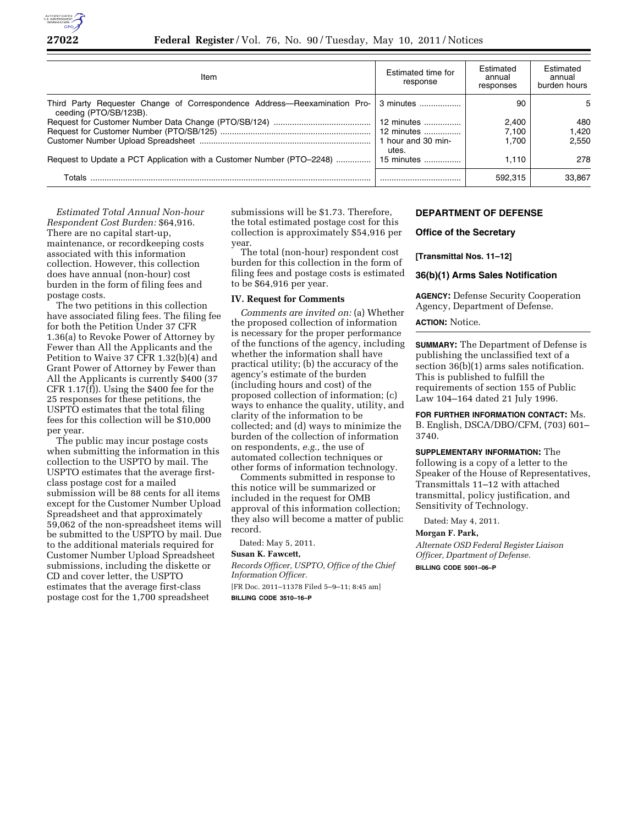

| Item                                                                                                          | Estimated time for<br>response | Estimated<br>annual<br>responses | Estimated<br>annual<br>burden hours |
|---------------------------------------------------------------------------------------------------------------|--------------------------------|----------------------------------|-------------------------------------|
| Third Party Requester Change of Correspondence Address—Reexamination Pro- 3 minutes<br>ceeding (PTO/SB/123B). |                                | 90                               | 5                                   |
|                                                                                                               | 12 minutes                     | 2.400                            | 480                                 |
|                                                                                                               | 12 minutes                     | 7.100                            | 1.420                               |
|                                                                                                               | 1 hour and 30 min-<br>utes.    | 1.700                            | 2.550                               |
| Request to Update a PCT Application with a Customer Number (PTO-2248)                                         | 15 minutes                     | 1.110                            | 278                                 |
| Totals                                                                                                        |                                | 592.315                          | 33.867                              |

*Estimated Total Annual Non-hour Respondent Cost Burden:* \$64,916. There are no capital start-up, maintenance, or recordkeeping costs associated with this information collection. However, this collection does have annual (non-hour) cost burden in the form of filing fees and postage costs.

The two petitions in this collection have associated filing fees. The filing fee for both the Petition Under 37 CFR 1.36(a) to Revoke Power of Attorney by Fewer than All the Applicants and the Petition to Waive 37 CFR 1.32(b)(4) and Grant Power of Attorney by Fewer than All the Applicants is currently \$400 (37 CFR 1.17(f)). Using the \$400 fee for the 25 responses for these petitions, the USPTO estimates that the total filing fees for this collection will be \$10,000 per year.

The public may incur postage costs when submitting the information in this collection to the USPTO by mail. The USPTO estimates that the average firstclass postage cost for a mailed submission will be 88 cents for all items except for the Customer Number Upload Spreadsheet and that approximately 59,062 of the non-spreadsheet items will be submitted to the USPTO by mail. Due to the additional materials required for Customer Number Upload Spreadsheet submissions, including the diskette or CD and cover letter, the USPTO estimates that the average first-class postage cost for the 1,700 spreadsheet

submissions will be \$1.73. Therefore, the total estimated postage cost for this collection is approximately \$54,916 per year.

The total (non-hour) respondent cost burden for this collection in the form of filing fees and postage costs is estimated to be \$64,916 per year.

## **IV. Request for Comments**

*Comments are invited on:* (a) Whether the proposed collection of information is necessary for the proper performance of the functions of the agency, including whether the information shall have practical utility; (b) the accuracy of the agency's estimate of the burden (including hours and cost) of the proposed collection of information; (c) ways to enhance the quality, utility, and clarity of the information to be collected; and (d) ways to minimize the burden of the collection of information on respondents, *e.g.,* the use of automated collection techniques or other forms of information technology.

Comments submitted in response to this notice will be summarized or included in the request for OMB approval of this information collection; they also will become a matter of public record.

Dated: May 5, 2011.

# **Susan K. Fawcett,**

*Records Officer, USPTO, Office of the Chief Information Officer.* 

[FR Doc. 2011–11378 Filed 5–9–11; 8:45 am] **BILLING CODE 3510–16–P** 

# **DEPARTMENT OF DEFENSE**

## **Office of the Secretary**

## **[Transmittal Nos. 11–12]**

# **36(b)(1) Arms Sales Notification**

**AGENCY:** Defense Security Cooperation Agency, Department of Defense.

## **ACTION:** Notice.

**SUMMARY:** The Department of Defense is publishing the unclassified text of a section 36(b)(1) arms sales notification. This is published to fulfill the requirements of section 155 of Public Law 104–164 dated 21 July 1996.

**FOR FURTHER INFORMATION CONTACT:** Ms. B. English, DSCA/DBO/CFM, (703) 601– 3740.

**SUPPLEMENTARY INFORMATION:** The following is a copy of a letter to the Speaker of the House of Representatives, Transmittals 11–12 with attached transmittal, policy justification, and Sensitivity of Technology.

Dated: May 4, 2011.

### **Morgan F. Park,**

*Alternate OSD Federal Register Liaison Officer, Dpartment of Defense.*  **BILLING CODE 5001–06–P**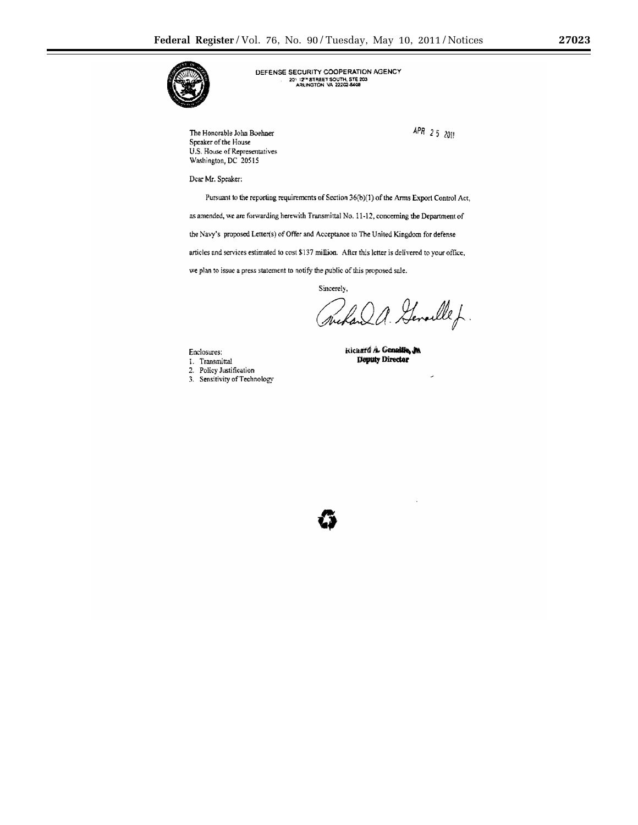

DEFENSE SECURITY COOPERATION AGENCY 2011278TREET SOUTH, STE 203<br>ARLINGTON VA 22202-5408

The Honorable John Boehner Speaker of the House U.S. House of Representatives Washington, DC 20515

 $APR$  25 2011

Dear Mr. Speaker:

Pursuant to the reporting requirements of Section 36(b)(1) of the Arms Export Control Act,

as amended, we are forwarding herewith Transmittal No. 11-12, concerning the Department of

the Navy's proposed Letter(s) of Offer and Acceptance to The United Kingdom for defense

articles and services estimated to cost \$137 million. After this letter is delivered to your office,

we plan to issue a press statement to notify the public of this proposed sale.

Sincerely,

land a. Generalle f

Enclosures:

- I. Transmittal
- 2. Policy Justification
- 3. Sensitivity of Technology

Richard A. Genalille, J.W. **Deputy Director**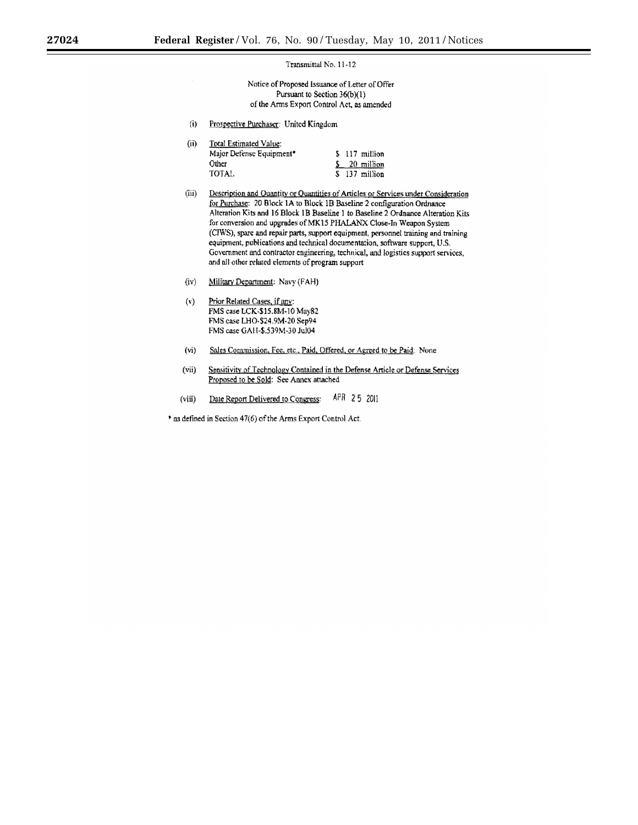Transmittal No. 11-12

Notice of Proposed Issuance of Letter of Offer Pursuant to Section 36(b)(1) of the Arms Export Control Act, as amended

 $(i)$ Prospective Purchaser: United Kingdom

| (ii) | Total Estimated Value:   |  |                |
|------|--------------------------|--|----------------|
|      | Major Defense Equipment* |  | \$ 117 million |
|      | Other                    |  | $5-20$ million |
|      | TOTAL                    |  | S 137 million  |

- $(iii)$ Description and Quantity or Quantities of Articles or Services under Consideration for Purchase: 20 Block 1A to Block 1B Baseline 2 configuration Ordnance Alteration Kits and 16 Block 1B Baseline 1 to Baseline 2 Ordnance Alteration Kits for conversion and upgrades of MK15 PHALANX Close-In Weapon System (CIWS), spare and repair parts, support equipment, personnel training and training equipment, publications and technical documentation, software support, U.S. Government and contractor engineering, technical, and logistics support services, and all other related elements of program support
- Military Department: Navy (FAH)  $(iv)$
- $(v)$ Prior Related Cases, if any: FMS case LCK-\$15.8M-10 May82 FMS case LHO-\$24.9M-20 Sep94 FMS case GAH-\$.539M-30 Jul04
- $(v<sub>i</sub>)$ Sales Commission, Fee, etc., Paid, Offered, or Agreed to be Paid: None
- $(vii)$ Sensitivity of Technology Contained in the Defense Article or Defense Services Proposed to be Sold: See Annex attached
- APR 25 2011 Date Report Delivered to Congress:  $(viii)$

\* as defined in Section 47(6) of the Arms Export Control Act.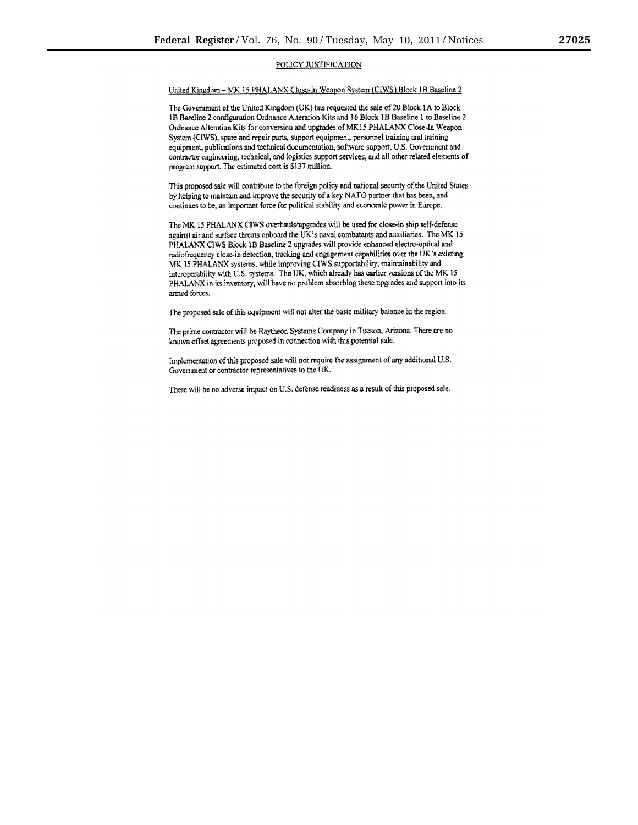# POLICY JUSTIFICATION

#### United Kingdom - MK 15 PHALANX Close-In Weapon System (CIWS) Block 1B Baseline 2

The Government of the United Kingdom (UK) has requested the sale of 20 Block 1A to Block 1B Baseline 2 configuration Ordnance Alteration Kits and 16 Block 1B Baseline 1 to Baseline 2 Ordnance Alteration Kits for conversion and upgrades of MK15 PHALANX Close-In Weapon System (CIWS), spare and repair parts, support equipment, personnel training and training equipment, publications and technical documentation, software support, U.S. Government and contractor engineering, technical, and logistics support services, and all other related elements of program support. The estimated cost is \$137 million.

This proposed sale will contribute to the foreign policy and national security of the United States by helping to maintain and improve the security of a key NATO partner that has been, and continues to be, an important force for political stability and economic power in Europe.

The MK 15 PHALANX CIWS overhauls/upgrades will be used for close-in ship self-defense against air and surface threats onboard the UK's naval combatants and auxiliaries. The MK 15 PHALANX CIWS Block 1B Baseline 2 upgrades will provide enhanced electro-optical and radiofrequency close-in detection, tracking and engagement capabilities over the UK's existing MK 15 PHALANX systems, while improving CIWS supportability, maintainability and interoperability with U.S. systems. The UK, which already has earlier versions of the MK 15 PHALANX in its inventory, will have no problem absorbing these upgrades and support into its armed forces.

The proposed sale of this equipment will not alter the basic military balance in the region.

The prime contractor will be Raytheon Systems Company in Tucson, Arizona. There are no known offset agreements proposed in connection with this potential sale.

Implementation of this proposed sale will not require the assignment of any additional U.S. Government or contractor representatives to the UK.

There will be no adverse impact on U.S. defense readiness as a result of this proposed sale.